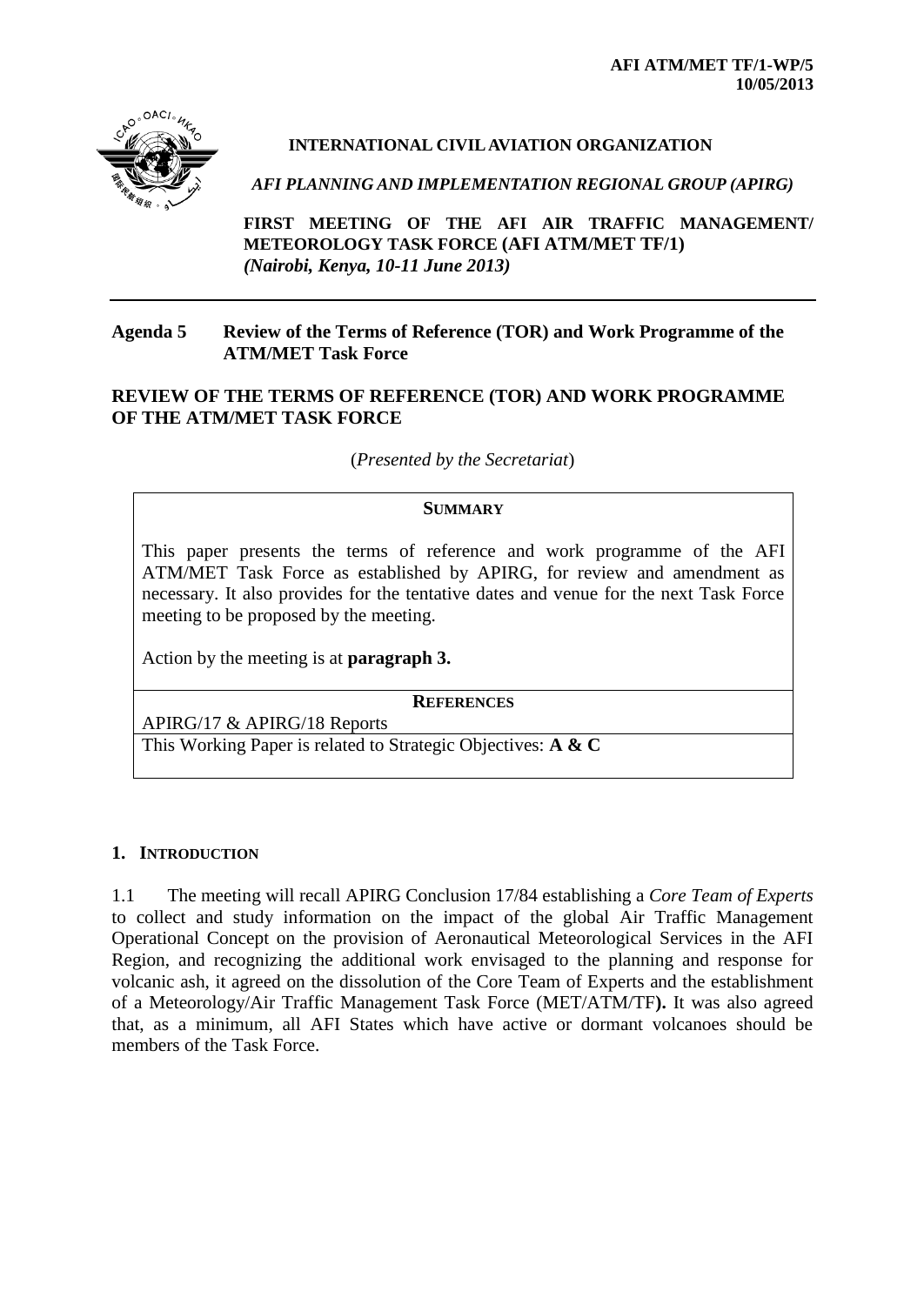

# **INTERNATIONAL CIVIL AVIATION ORGANIZATION**

*AFI PLANNING AND IMPLEMENTATION REGIONAL GROUP (APIRG)*

**FIRST MEETING OF THE AFI AIR TRAFFIC MANAGEMENT/ METEOROLOGY TASK FORCE (AFI ATM/MET TF/1)** *(Nairobi, Kenya, 10-11 June 2013)*

### **Agenda 5 Review of the Terms of Reference (TOR) and Work Programme of the ATM/MET Task Force**

## **REVIEW OF THE TERMS OF REFERENCE (TOR) AND WORK PROGRAMME OF THE ATM/MET TASK FORCE**

(*Presented by the Secretariat*)

#### **SUMMARY**

This paper presents the terms of reference and work programme of the AFI ATM/MET Task Force as established by APIRG, for review and amendment as necessary. It also provides for the tentative dates and venue for the next Task Force meeting to be proposed by the meeting.

Action by the meeting is at **paragraph 3.**

**REFERENCES**

APIRG/17 & APIRG/18 Reports

This Working Paper is related to Strategic Objectives: **A & C**

## **1. INTRODUCTION**

1.1 The meeting will recall APIRG Conclusion 17/84 establishing a *Core Team of Experts*  to collect and study information on the impact of the global Air Traffic Management Operational Concept on the provision of Aeronautical Meteorological Services in the AFI Region, and recognizing the additional work envisaged to the planning and response for volcanic ash, it agreed on the dissolution of the Core Team of Experts and the establishment of a Meteorology/Air Traffic Management Task Force (MET/ATM/TF**).** It was also agreed that, as a minimum, all AFI States which have active or dormant volcanoes should be members of the Task Force.